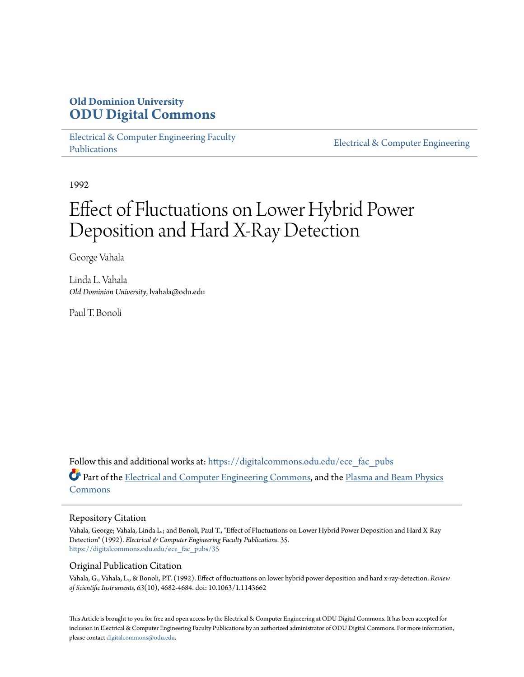## **Old Dominion University [ODU Digital Commons](https://digitalcommons.odu.edu?utm_source=digitalcommons.odu.edu%2Fece_fac_pubs%2F35&utm_medium=PDF&utm_campaign=PDFCoverPages)**

[Electrical & Computer Engineering Faculty](https://digitalcommons.odu.edu/ece_fac_pubs?utm_source=digitalcommons.odu.edu%2Fece_fac_pubs%2F35&utm_medium=PDF&utm_campaign=PDFCoverPages) [Publications](https://digitalcommons.odu.edu/ece_fac_pubs?utm_source=digitalcommons.odu.edu%2Fece_fac_pubs%2F35&utm_medium=PDF&utm_campaign=PDFCoverPages)

[Electrical & Computer Engineering](https://digitalcommons.odu.edu/ece?utm_source=digitalcommons.odu.edu%2Fece_fac_pubs%2F35&utm_medium=PDF&utm_campaign=PDFCoverPages)

1992

# Effect of Fluctuations on Lower Hybrid Power Deposition and Hard X-Ray Detection

George Vahala

Linda L. Vahala *Old Dominion University*, lvahala@odu.edu

Paul T. Bonoli

Follow this and additional works at: [https://digitalcommons.odu.edu/ece\\_fac\\_pubs](https://digitalcommons.odu.edu/ece_fac_pubs?utm_source=digitalcommons.odu.edu%2Fece_fac_pubs%2F35&utm_medium=PDF&utm_campaign=PDFCoverPages) Part of the [Electrical and Computer Engineering Commons](http://network.bepress.com/hgg/discipline/266?utm_source=digitalcommons.odu.edu%2Fece_fac_pubs%2F35&utm_medium=PDF&utm_campaign=PDFCoverPages), and the [Plasma and Beam Physics](http://network.bepress.com/hgg/discipline/205?utm_source=digitalcommons.odu.edu%2Fece_fac_pubs%2F35&utm_medium=PDF&utm_campaign=PDFCoverPages) [Commons](http://network.bepress.com/hgg/discipline/205?utm_source=digitalcommons.odu.edu%2Fece_fac_pubs%2F35&utm_medium=PDF&utm_campaign=PDFCoverPages)

## Repository Citation

Vahala, George; Vahala, Linda L.; and Bonoli, Paul T., "Effect of Fluctuations on Lower Hybrid Power Deposition and Hard X-Ray Detection" (1992). *Electrical & Computer Engineering Faculty Publications*. 35. [https://digitalcommons.odu.edu/ece\\_fac\\_pubs/35](https://digitalcommons.odu.edu/ece_fac_pubs/35?utm_source=digitalcommons.odu.edu%2Fece_fac_pubs%2F35&utm_medium=PDF&utm_campaign=PDFCoverPages)

## Original Publication Citation

Vahala, G., Vahala, L., & Bonoli, P.T. (1992). Effect of fluctuations on lower hybrid power deposition and hard x-ray-detection. *Review of Scientific Instruments, 63*(10), 4682-4684. doi: 10.1063/1.1143662

This Article is brought to you for free and open access by the Electrical & Computer Engineering at ODU Digital Commons. It has been accepted for inclusion in Electrical & Computer Engineering Faculty Publications by an authorized administrator of ODU Digital Commons. For more information, please contact [digitalcommons@odu.edu](mailto:digitalcommons@odu.edu).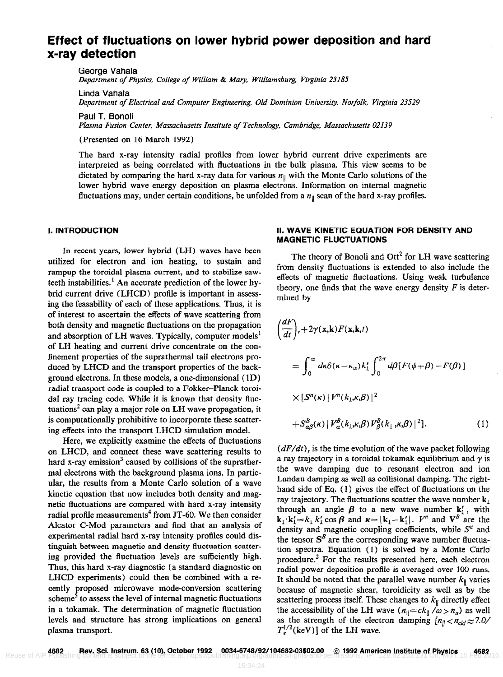## Effect of fluctuations on lower hybrid power deposition and hard x-ray detection

George Vahala Department of Physics, College of William & Mary, Williamsburg, Virginia 23185

Linda Vahala

Department of Electrical and Computer Engineering, Old Dominion University, Norfolk, Virginia 23529

Paul T. Bonoli Plasma Fusion Center, Massachusetts Institute of Technology, Cambridge, Massachusetts 02139

(Presented on 16 March 1992)

The hard x-ray intensity radial profiles from lower hybrid current drive experiments are interpreted as being correlated with fluctuations in the bulk plasma. This view seems to be dictated by comparing the hard x-ray data for various  $n_{\parallel}$  with the Monte Carlo solutions of the lower hybrid wave energy deposition on plasma electrons. Information on internal magnetic fluctuations may, under certain conditions, be unfolded from a  $n_{\parallel}$  scan of the hard x-ray profiles.

### I. INTRODUCTION

In recent years, lower hybrid (LH) waves have been utilized for electron and ion heating, to sustain and rampup the toroidal plasma current, and to stabilize sawteeth instabilities.<sup>1</sup> An accurate prediction of the lower hybrid current drive (LHCD) profile is important in assessing the feasability of each of these applications. Thus, it is of interest to ascertain the effects of wave scattering from both density and magnetic fluctuations on the propagation and absorption of LH waves. Typically, computer models<sup>1</sup> of LH heating and current drive concentrate on the confinement properties of the suprathermal tail electrons produced by LHCD and the transport properties of the background electrons. In these models, a one-dimensional ( 1D) radial transport code is coupled to a Fokker-Planck toroidal ray tracing code. While it is known that density fluctuations<sup>2</sup> can play a major role on LH wave propagation, it is computationally prohibitive to incorporate these scattering effects into the transport LHCD simulation model.

Here, we explicitly examine the effects of fluctuations on LHCD, and connect these wave scattering results to hard x-ray emission<sup>3</sup> caused by collisions of the supratherma1 electrons with the background plasma ions. In particular, the results from a Monte Carlo solution of a wave kinetic equation that now includes both density and magnetic fluctuations are compared with hard x-ray intensity radial profile measurements<sup>4</sup> from JT-60. We then consider Alcator C-Mod parameters and find that an analysis of experimental radial hard x-ray intensity profiles could distinguish between magnetic and density fluctuation scattering provided the fluctuation levels are sufficiently high. Thus, this hard x-ray diagnostic (a standard diagnostic on LHCD experiments) could then be combined with a recently proposed microwave mode-conversion scattering scheme<sup>5</sup> to assess the level of internal magnetic fluctuations in a tokamak. The determination of magnetic fluctuation levels and structure has strong implications on general plasma transport.

## II. WAVE KINETIC EQUATION FOR DENSITY AND MAGNETIC FLUCTUATIONS

The theory of Bonoli and  $\text{Ott}^2$  for LH wave scattering from density fluctuations is extended to also include the effects of magnetic fluctuations. Using weak turbulence theory, one finds that the wave energy density  $F$  is determined by

$$
\frac{dF}{dt}\Big|_{r} + 2\gamma(\mathbf{x}, \mathbf{k})F(\mathbf{x}, \mathbf{k}, t)
$$
\n
$$
= \int_{0}^{\infty} d\kappa \delta(\kappa - \kappa_{w})k'_{1} \int_{0}^{2\pi} d\beta [F(\phi + \beta) - F(\beta)]
$$
\n
$$
\times [S^{n}(\kappa) | V^{n}(k_{1}, \kappa, \beta)|^{2}
$$
\n
$$
+ S^{B}_{\alpha\beta}(\kappa) | V^{B}_{\alpha}(k_{1}, \kappa, \beta) | V^{B}_{\beta}(k_{1}, \kappa, \beta)|^{2}].
$$
\n(1)

 $(dF/dt)$ , is the time evolution of the wave packet following a ray trajectory in a toroidal tokamak equilibrium and  $\gamma$  is the wave damping due to resonant electron and ion Landau damping as well as collisional damping. The righthand side of Eq. (1) gives the effect of fluctuations on the ray trajectory. The fluctuations scatter the wave number  $k_1$ through an angle  $\beta$  to a new wave number  $k'_1$ , with  $\mathbf{k}_1 \cdot \mathbf{k}'_1 = k_1 k'_1 \cos \beta$  and  $\mathbf{k} = |\mathbf{k}_1 - \mathbf{k}'_1|$ .  $V^n$  and  $V^B$  are the density and magnetic coupling coefficients, while  $S<sup>n</sup>$  and the tensor  $S^B$  are the corresponding wave number fluctuation spectra. Equation (1) is solved by a Monte Carlo procedure.' For the results presented here, each electron radial power deposition profile is averaged over 100 runs, It should be noted that the parallel wave number  $k_{\parallel}$  varies because of magnetic shear, toroidicity as well as by the scattering process itself. These changes to  $k_{\parallel}$  directly effect the accessibility of the LH wave  $(n_{\parallel}=ck_{\parallel}/\omega > n_a)$  as well as the strength of the electron damping  $[n_{\parallel} < n_{\text{eld}} \approx 7.0/1$  $T_c^{1/2}$ (keV)] of the LH wave.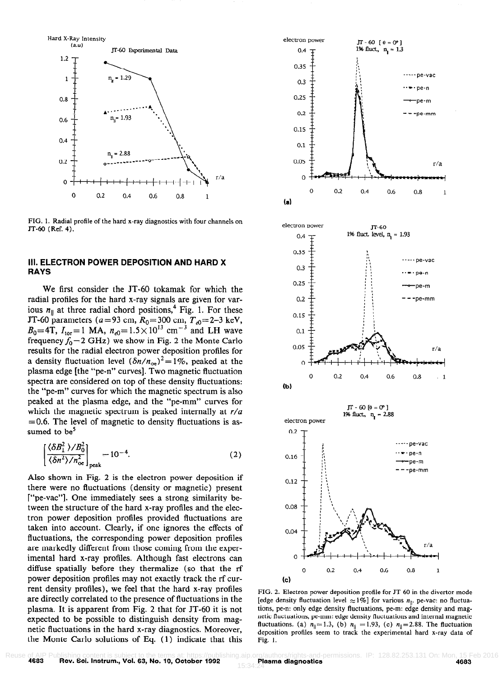

FIG. 1. Radial profile of the hard x-ray diagnostics with four channels on JT-60 (Ref. 4).

## III. ELECTRON POWER DEPOSITION AND HARD X RAYS

We first consider the JT-60 tokamak for which the radial profiles for the hard x-ray signals are given for various  $n_{\parallel}$  at three radial chord positions,<sup>4</sup> Fig. 1. For these JT-60 parameters ( $a = 93$  cm,  $R_0 = 300$  cm,  $T_{e0} = 2-3$  keV,  $B_0=4$ T,  $I_{\text{tor}}=1$  MA,  $n_{e0}=1.5\times10^{13}$  cm<sup>-3</sup> and LH wave frequency  $f_0 = 2$  GHz) we show in Fig. 2 the Monte Carlo results for the radial electron power deposition profiles for a density fluctuation level  $(\delta n/n_{\text{oe}})^2 = 1\%$ , peaked at the plasma edge [the "pe-n" curves]. Two magnetic fluctuation spectra are considered on top of these density fluctuations: the "pe-m" curves for which the magnetic spectrum is also peaked at the plasma edge, and the "pe-mm" curves for which the magnetic spectrum is peaked internally at  $r/a$  $=0.6$ . The level of magnetic to density fluctuations is assumed to be $5$ 

ed to be<sup>3</sup>  
\n
$$
\left[ \frac{\langle \delta B_1^2 \rangle / B_0^2}{\langle \delta n^2 \rangle / n_{\infty}^2} \right]_{\text{peak}} = 10^{-4}.
$$
\n(2)

Also shown in Fig. 2 is the electron power deposition if there were no fluctuations (density or magnetic) present ["pe-vac"]. One immediately sees a strong similarity between the structure of the hard x-ray profiles and the electron power deposition profiles provided fluctuations are taken into account. Clearly, if one ignores the effects of fluctuations, the corresponding power deposition profiles are markedly different from those coming from the experimental hard x-ray profiles. Although fast electrons can diffuse spatially before they thermalize (so that the rf power deposition profiles may not exactly track the rf current density profiles), we feel that the hard x-ray profiles are directly correlated to the presence of fluctuations in the plasma. It is apparent from Fig. 2 that for JT-60 it is not expected to be possible to distinguish density from magnetic fluctuations in the hard x-ray diagnostics. Moreover, the Monte Carlo solutions of Eq. (1) indicate that this



FIG. 2. Electron power deposition profile for JT-60 in the divertor mode [edge density fluctuation level  $\approx 1\%$ ] for various  $n_{\parallel}$ . pe-vac: no fluctuations, pe-n: only edge density fluctuations, pe-m: edge density and magnetic fluctuations, pe-mm: edge density fluctuations and internal magnetic fluctuations. (a)  $n_{\parallel}=1.3$ , (b)  $n_{\parallel}=1.93$ , (c)  $n_{\parallel}=2.88$ . The fluctuation deposition profiles seem to track the experimental hard x-ray data of Fig. 1.

Reuse of AIP Publishing content is subject to the terms at: https://publishing.aip.org/authors/rights-and-permissions. IP: 128.82.253.131 On: Mon, 15 Feb 2016